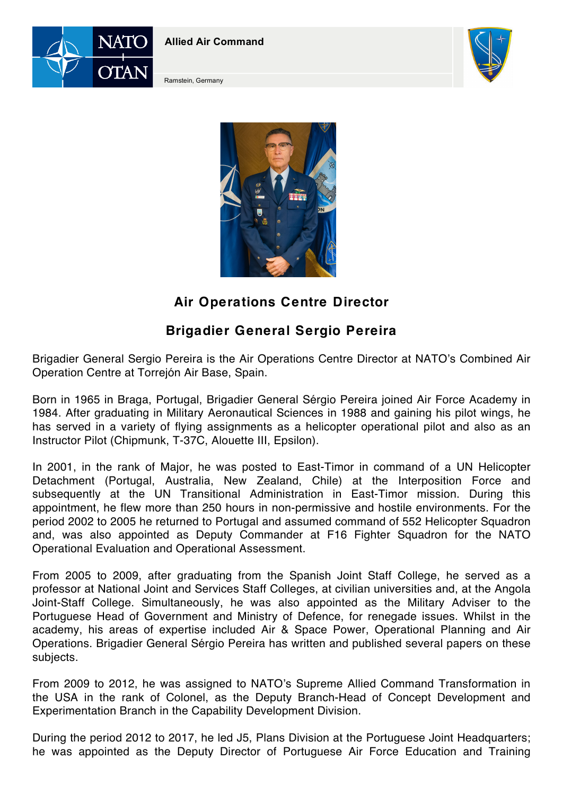

**Allied Air Command**



Ramstein, Germany



## **Air Operations Centre Director**

## **Brigadier General Sergio Pereira**

Brigadier General Sergio Pereira is the Air Operations Centre Director at NATO's Combined Air Operation Centre at Torrejón Air Base, Spain.

Born in 1965 in Braga, Portugal, Brigadier General Sérgio Pereira joined Air Force Academy in 1984. After graduating in Military Aeronautical Sciences in 1988 and gaining his pilot wings, he has served in a variety of flying assignments as a helicopter operational pilot and also as an Instructor Pilot (Chipmunk, T-37C, Alouette III, Epsilon).

In 2001, in the rank of Major, he was posted to East-Timor in command of a UN Helicopter Detachment (Portugal, Australia, New Zealand, Chile) at the Interposition Force and subsequently at the UN Transitional Administration in East-Timor mission. During this appointment, he flew more than 250 hours in non-permissive and hostile environments. For the period 2002 to 2005 he returned to Portugal and assumed command of 552 Helicopter Squadron and, was also appointed as Deputy Commander at F16 Fighter Squadron for the NATO Operational Evaluation and Operational Assessment.

From 2005 to 2009, after graduating from the Spanish Joint Staff College, he served as a professor at National Joint and Services Staff Colleges, at civilian universities and, at the Angola Joint-Staff College. Simultaneously, he was also appointed as the Military Adviser to the Portuguese Head of Government and Ministry of Defence, for renegade issues. Whilst in the academy, his areas of expertise included Air & Space Power, Operational Planning and Air Operations. Brigadier General Sérgio Pereira has written and published several papers on these subjects.

From 2009 to 2012, he was assigned to NATO's Supreme Allied Command Transformation in the USA in the rank of Colonel, as the Deputy Branch-Head of Concept Development and Experimentation Branch in the Capability Development Division.

During the period 2012 to 2017, he led J5, Plans Division at the Portuguese Joint Headquarters; he was appointed as the Deputy Director of Portuguese Air Force Education and Training